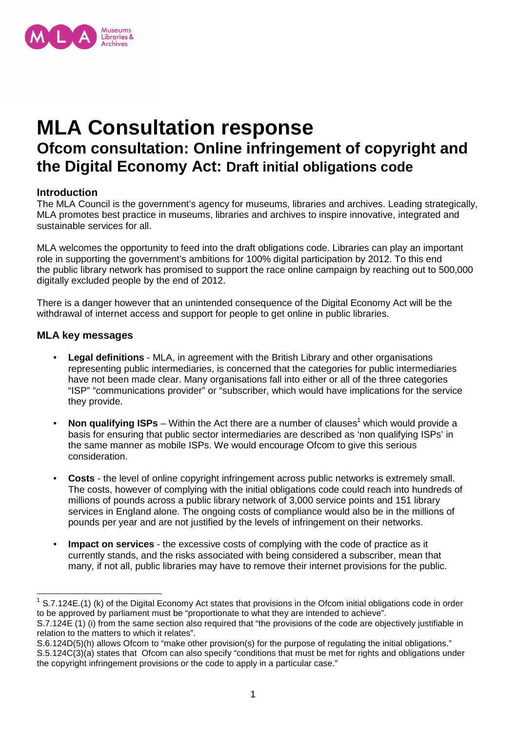

# **MLA Consultation response Ofcom consultation: Online infringement of copyright and the Digital Economy Act: Draft initial obligations code**

## **Introduction**

The MLA Council is the government's agency for museums, libraries and archives. Leading strategically, MLA promotes best practice in museums, libraries and archives to inspire innovative, integrated and sustainable services for all.

MLA welcomes the opportunity to feed into the draft obligations code. Libraries can play an important role in supporting the government's ambitions for 100% digital participation by 2012. To this end the public library network has promised to support the race online campaign by reaching out to 500,000 digitally excluded people by the end of 2012.

There is a danger however that an unintended consequence of the Digital Economy Act will be the withdrawal of internet access and support for people to get online in public libraries.

## **MLA key messages**

- **Legal definitions**  MLA, in agreement with the British Library and other organisations representing public intermediaries, is concerned that the categories for public intermediaries have not been made clear. Many organisations fall into either or all of the three categories "ISP" "communications provider" or "subscriber, which would have implications for the service they provide.
- Non qualifying ISPs Within the Act there are a number of clauses<sup>1</sup> which would provide a basis for ensuring that public sector intermediaries are described as 'non qualifying ISPs' in the same manner as mobile ISPs. We would encourage Ofcom to give this serious consideration.
- **Costs** the level of online copyright infringement across public networks is extremely small. The costs, however of complying with the initial obligations code could reach into hundreds of millions of pounds across a public library network of 3,000 service points and 151 library services in England alone. The ongoing costs of compliance would also be in the millions of pounds per year and are not justified by the levels of infringement on their networks.
- **Impact on services**  the excessive costs of complying with the code of practice as it currently stands, and the risks associated with being considered a subscriber, mean that many, if not all, public libraries may have to remove their internet provisions for the public.

 $1$  S.7.124E.(1) (k) of the Digital Economy Act states that provisions in the Ofcom initial obligations code in order to be approved by parliament must be "proportionate to what they are intended to achieve".

S.7.124E (1) (i) from the same section also required that "the provisions of the code are objectively justifiable in relation to the matters to which it relates".

S.6.124D(5)(h) allows Ofcom to "make other provision(s) for the purpose of regulating the initial obligations." S.5.124C(3)(a) states that Ofcom can also specify "conditions that must be met for rights and obligations under the copyright infringement provisions or the code to apply in a particular case."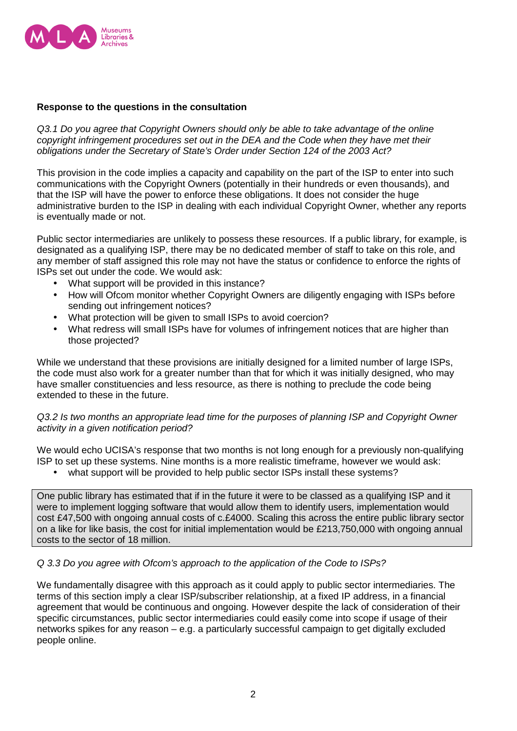

## **Response to the questions in the consultation**

Q3.1 Do you agree that Copyright Owners should only be able to take advantage of the online copyright infringement procedures set out in the DEA and the Code when they have met their obligations under the Secretary of State's Order under Section 124 of the 2003 Act?

This provision in the code implies a capacity and capability on the part of the ISP to enter into such communications with the Copyright Owners (potentially in their hundreds or even thousands), and that the ISP will have the power to enforce these obligations. It does not consider the huge administrative burden to the ISP in dealing with each individual Copyright Owner, whether any reports is eventually made or not.

Public sector intermediaries are unlikely to possess these resources. If a public library, for example, is designated as a qualifying ISP, there may be no dedicated member of staff to take on this role, and any member of staff assigned this role may not have the status or confidence to enforce the rights of ISPs set out under the code. We would ask:

- What support will be provided in this instance?
- How will Ofcom monitor whether Copyright Owners are diligently engaging with ISPs before sending out infringement notices?
- What protection will be given to small ISPs to avoid coercion?
- What redress will small ISPs have for volumes of infringement notices that are higher than those projected?

While we understand that these provisions are initially designed for a limited number of large ISPs, the code must also work for a greater number than that for which it was initially designed, who may have smaller constituencies and less resource, as there is nothing to preclude the code being extended to these in the future.

## Q3.2 Is two months an appropriate lead time for the purposes of planning ISP and Copyright Owner activity in a given notification period?

We would echo UCISA's response that two months is not long enough for a previously non-qualifying ISP to set up these systems. Nine months is a more realistic timeframe, however we would ask:

• what support will be provided to help public sector ISPs install these systems?

One public library has estimated that if in the future it were to be classed as a qualifying ISP and it were to implement logging software that would allow them to identify users, implementation would cost £47,500 with ongoing annual costs of c.£4000. Scaling this across the entire public library sector on a like for like basis, the cost for initial implementation would be £213,750,000 with ongoing annual costs to the sector of 18 million.

## Q 3.3 Do you agree with Ofcom's approach to the application of the Code to ISPs?

We fundamentally disagree with this approach as it could apply to public sector intermediaries. The terms of this section imply a clear ISP/subscriber relationship, at a fixed IP address, in a financial agreement that would be continuous and ongoing. However despite the lack of consideration of their specific circumstances, public sector intermediaries could easily come into scope if usage of their networks spikes for any reason – e.g. a particularly successful campaign to get digitally excluded people online.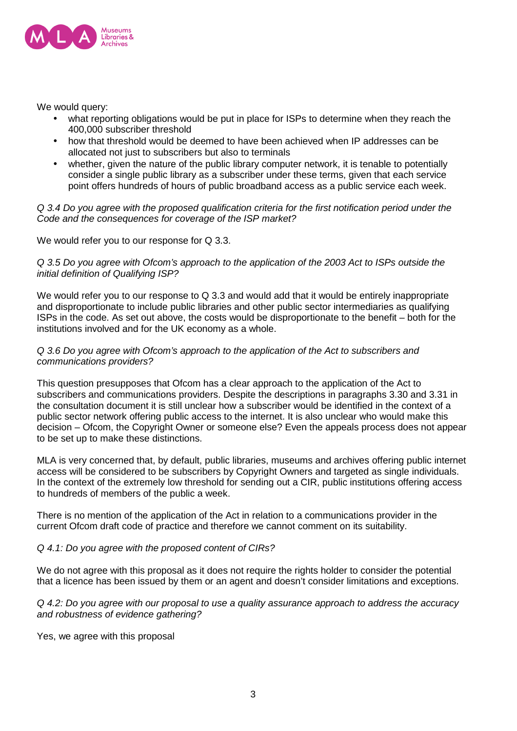

We would query:

- what reporting obligations would be put in place for ISPs to determine when they reach the 400,000 subscriber threshold
- how that threshold would be deemed to have been achieved when IP addresses can be allocated not just to subscribers but also to terminals
- whether, given the nature of the public library computer network, it is tenable to potentially consider a single public library as a subscriber under these terms, given that each service point offers hundreds of hours of public broadband access as a public service each week.

Q 3.4 Do you agree with the proposed qualification criteria for the first notification period under the Code and the consequences for coverage of the ISP market?

We would refer you to our response for Q 3.3.

Q 3.5 Do you agree with Ofcom's approach to the application of the 2003 Act to ISPs outside the initial definition of Qualifying ISP?

We would refer you to our response to Q 3.3 and would add that it would be entirely inappropriate and disproportionate to include public libraries and other public sector intermediaries as qualifying ISPs in the code. As set out above, the costs would be disproportionate to the benefit – both for the institutions involved and for the UK economy as a whole.

#### Q 3.6 Do you agree with Ofcom's approach to the application of the Act to subscribers and communications providers?

This question presupposes that Ofcom has a clear approach to the application of the Act to subscribers and communications providers. Despite the descriptions in paragraphs 3.30 and 3.31 in the consultation document it is still unclear how a subscriber would be identified in the context of a public sector network offering public access to the internet. It is also unclear who would make this decision – Ofcom, the Copyright Owner or someone else? Even the appeals process does not appear to be set up to make these distinctions.

MLA is very concerned that, by default, public libraries, museums and archives offering public internet access will be considered to be subscribers by Copyright Owners and targeted as single individuals. In the context of the extremely low threshold for sending out a CIR, public institutions offering access to hundreds of members of the public a week.

There is no mention of the application of the Act in relation to a communications provider in the current Ofcom draft code of practice and therefore we cannot comment on its suitability.

Q 4.1: Do you agree with the proposed content of CIRs?

We do not agree with this proposal as it does not require the rights holder to consider the potential that a licence has been issued by them or an agent and doesn't consider limitations and exceptions.

Q 4.2: Do you agree with our proposal to use a quality assurance approach to address the accuracy and robustness of evidence gathering?

Yes, we agree with this proposal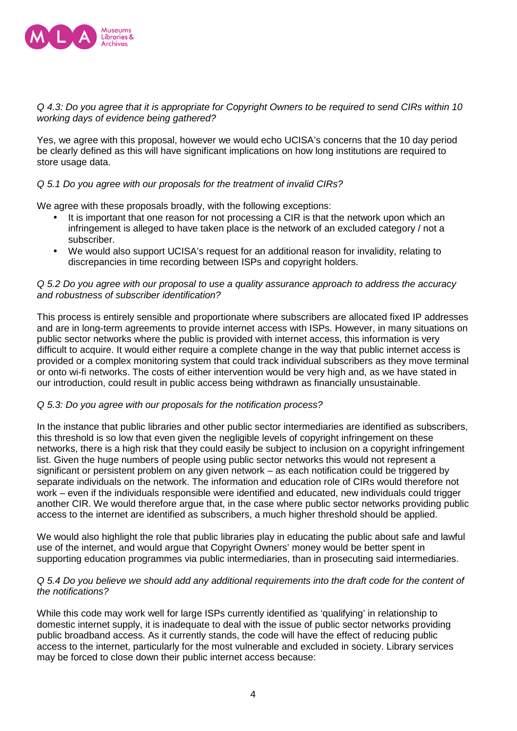

#### Q 4.3: Do you agree that it is appropriate for Copyright Owners to be required to send CIRs within 10 working days of evidence being gathered?

Yes, we agree with this proposal, however we would echo UCISA's concerns that the 10 day period be clearly defined as this will have significant implications on how long institutions are required to store usage data.

## Q 5.1 Do you agree with our proposals for the treatment of invalid CIRs?

We agree with these proposals broadly, with the following exceptions:

- It is important that one reason for not processing a CIR is that the network upon which an infringement is alleged to have taken place is the network of an excluded category / not a subscriber.
- We would also support UCISA's request for an additional reason for invalidity, relating to discrepancies in time recording between ISPs and copyright holders.

#### Q 5.2 Do you agree with our proposal to use a quality assurance approach to address the accuracy and robustness of subscriber identification?

This process is entirely sensible and proportionate where subscribers are allocated fixed IP addresses and are in long-term agreements to provide internet access with ISPs. However, in many situations on public sector networks where the public is provided with internet access, this information is very difficult to acquire. It would either require a complete change in the way that public internet access is provided or a complex monitoring system that could track individual subscribers as they move terminal or onto wi-fi networks. The costs of either intervention would be very high and, as we have stated in our introduction, could result in public access being withdrawn as financially unsustainable.

## Q 5.3: Do you agree with our proposals for the notification process?

In the instance that public libraries and other public sector intermediaries are identified as subscribers, this threshold is so low that even given the negligible levels of copyright infringement on these networks, there is a high risk that they could easily be subject to inclusion on a copyright infringement list. Given the huge numbers of people using public sector networks this would not represent a significant or persistent problem on any given network – as each notification could be triggered by separate individuals on the network. The information and education role of CIRs would therefore not work – even if the individuals responsible were identified and educated, new individuals could trigger another CIR. We would therefore argue that, in the case where public sector networks providing public access to the internet are identified as subscribers, a much higher threshold should be applied.

We would also highlight the role that public libraries play in educating the public about safe and lawful use of the internet, and would argue that Copyright Owners' money would be better spent in supporting education programmes via public intermediaries, than in prosecuting said intermediaries.

#### Q 5.4 Do you believe we should add any additional requirements into the draft code for the content of the notifications?

While this code may work well for large ISPs currently identified as 'qualifying' in relationship to domestic internet supply, it is inadequate to deal with the issue of public sector networks providing public broadband access. As it currently stands, the code will have the effect of reducing public access to the internet, particularly for the most vulnerable and excluded in society. Library services may be forced to close down their public internet access because: